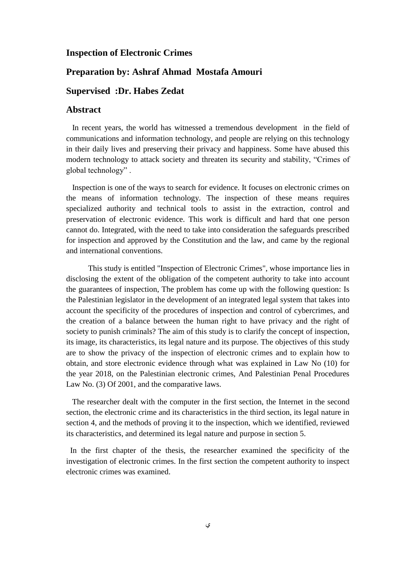## **Inspection of Electronic Crimes**

## **Preparation by: Ashraf Ahmad Mostafa Amouri**

## **Supervised :Dr. Habes Zedat**

## **Abstract**

 In recent years, the world has witnessed a tremendous development in the field of communications and information technology, and people are relying on this technology in their daily lives and preserving their privacy and happiness. Some have abused this modern technology to attack society and threaten its security and stability, "Crimes of global technology" .

 Inspection is one of the ways to search for evidence. It focuses on electronic crimes on the means of information technology. The inspection of these means requires specialized authority and technical tools to assist in the extraction, control and preservation of electronic evidence. This work is difficult and hard that one person cannot do. Integrated, with the need to take into consideration the safeguards prescribed for inspection and approved by the Constitution and the law, and came by the regional and international conventions.

 This study is entitled "Inspection of Electronic Crimes", whose importance lies in disclosing the extent of the obligation of the competent authority to take into account the guarantees of inspection, The problem has come up with the following question: Is the Palestinian legislator in the development of an integrated legal system that takes into account the specificity of the procedures of inspection and control of cybercrimes, and the creation of a balance between the human right to have privacy and the right of society to punish criminals? The aim of this study is to clarify the concept of inspection, its image, its characteristics, its legal nature and its purpose. The objectives of this study are to show the privacy of the inspection of electronic crimes and to explain how to obtain, and store electronic evidence through what was explained in Law No (10) for the year 2018, on the Palestinian electronic crimes, And Palestinian Penal Procedures Law No. (3) Of 2001, and the comparative laws.

 The researcher dealt with the computer in the first section, the Internet in the second section, the electronic crime and its characteristics in the third section, its legal nature in section 4, and the methods of proving it to the inspection, which we identified, reviewed its characteristics, and determined its legal nature and purpose in section 5.

 In the first chapter of the thesis, the researcher examined the specificity of the investigation of electronic crimes. In the first section the competent authority to inspect electronic crimes was examined.